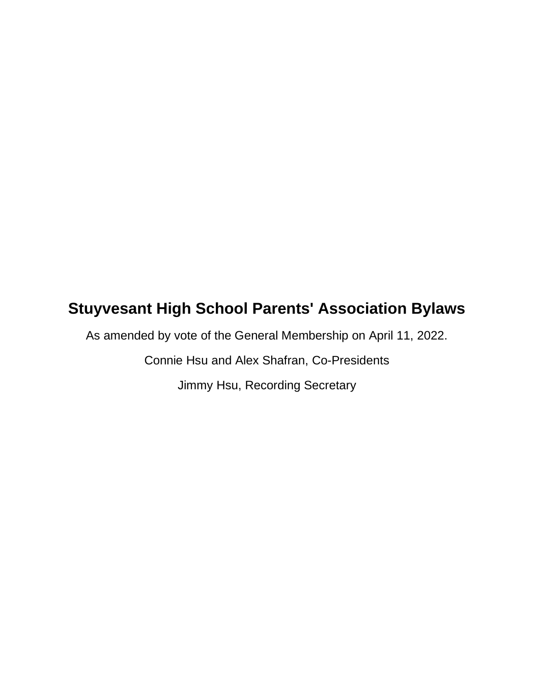# **Stuyvesant High School Parents' Association Bylaws**

As amended by vote of the General Membership on April 11, 2022.

Connie Hsu and Alex Shafran, Co-Presidents

Jimmy Hsu, Recording Secretary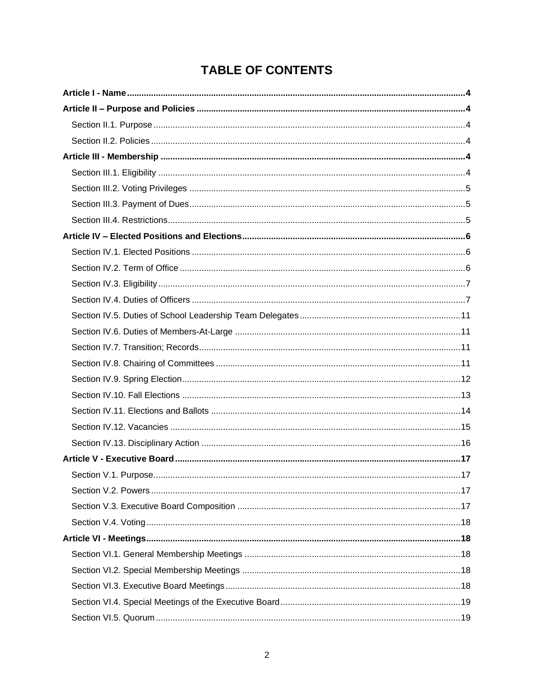# **TABLE OF CONTENTS**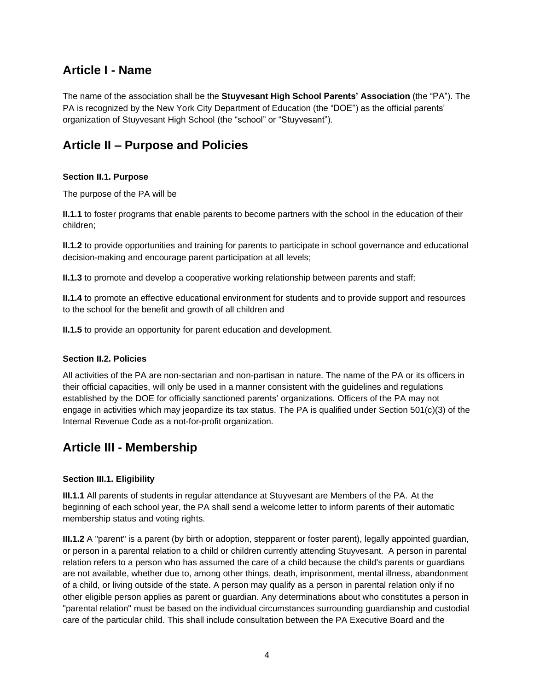# <span id="page-3-0"></span>**Article I - Name**

The name of the association shall be the **Stuyvesant High School Parents' Association** (the "PA"). The PA is recognized by the New York City Department of Education (the "DOE") as the official parents' organization of Stuyvesant High School (the "school" or "Stuyvesant").

# <span id="page-3-1"></span>**Article II – Purpose and Policies**

### <span id="page-3-2"></span>**Section II.1. Purpose**

The purpose of the PA will be

**II.1.1** to foster programs that enable parents to become partners with the school in the education of their children;

**II.1.2** to provide opportunities and training for parents to participate in school governance and educational decision-making and encourage parent participation at all levels;

**II.1.3** to promote and develop a cooperative working relationship between parents and staff;

**II.1.4** to promote an effective educational environment for students and to provide support and resources to the school for the benefit and growth of all children and

**II.1.5** to provide an opportunity for parent education and development.

### <span id="page-3-3"></span>**Section II.2. Policies**

All activities of the PA are non-sectarian and non-partisan in nature. The name of the PA or its officers in their official capacities, will only be used in a manner consistent with the guidelines and regulations established by the DOE for officially sanctioned parents' organizations. Officers of the PA may not engage in activities which may jeopardize its tax status. The PA is qualified under Section 501(c)(3) of the Internal Revenue Code as a not-for-profit organization.

# <span id="page-3-4"></span>**Article III - Membership**

### <span id="page-3-5"></span>**Section III.1. Eligibility**

**III.1.1** All parents of students in regular attendance at Stuyvesant are Members of the PA. At the beginning of each school year, the PA shall send a welcome letter to inform parents of their automatic membership status and voting rights.

**III.1.2** A "parent" is a parent (by birth or adoption, stepparent or foster parent), legally appointed guardian, or person in a parental relation to a child or children currently attending Stuyvesant. A person in parental relation refers to a person who has assumed the care of a child because the child's parents or guardians are not available, whether due to, among other things, death, imprisonment, mental illness, abandonment of a child, or living outside of the state. A person may qualify as a person in parental relation only if no other eligible person applies as parent or guardian. Any determinations about who constitutes a person in "parental relation" must be based on the individual circumstances surrounding guardianship and custodial care of the particular child. This shall include consultation between the PA Executive Board and the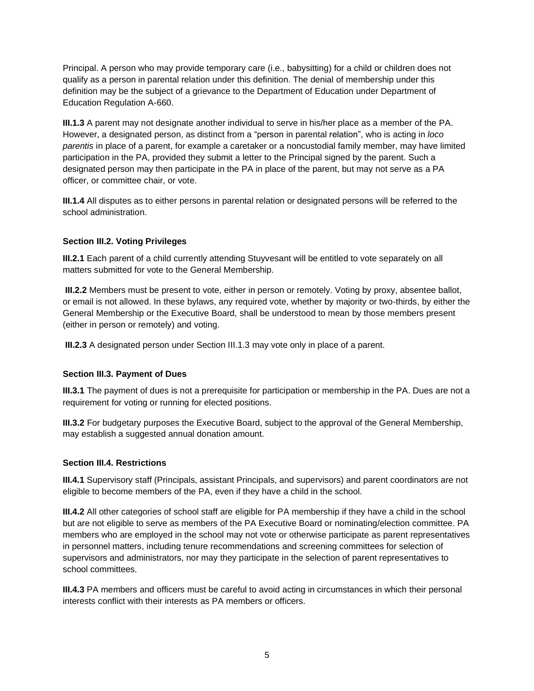Principal. A person who may provide temporary care (i.e., babysitting) for a child or children does not qualify as a person in parental relation under this definition. The denial of membership under this definition may be the subject of a grievance to the Department of Education under Department of Education Regulation A-660.

**III.1.3** A parent may not designate another individual to serve in his/her place as a member of the PA. However, a designated person, as distinct from a "person in parental relation", who is acting in *loco parentis* in place of a parent, for example a caretaker or a noncustodial family member, may have limited participation in the PA, provided they submit a letter to the Principal signed by the parent. Such a designated person may then participate in the PA in place of the parent, but may not serve as a PA officer, or committee chair, or vote.

**III.1.4** All disputes as to either persons in parental relation or designated persons will be referred to the school administration.

### <span id="page-4-0"></span>**Section III.2. Voting Privileges**

**III.2.1** Each parent of a child currently attending Stuyvesant will be entitled to vote separately on all matters submitted for vote to the General Membership.

**III.2.2** Members must be present to vote, either in person or remotely. Voting by proxy, absentee ballot, or email is not allowed. In these bylaws, any required vote, whether by majority or two-thirds, by either the General Membership or the Executive Board, shall be understood to mean by those members present (either in person or remotely) and voting.

**III.2.3** A designated person under Section III.1.3 may vote only in place of a parent.

### <span id="page-4-1"></span>**Section III.3. Payment of Dues**

**III.3.1** The payment of dues is not a prerequisite for participation or membership in the PA. Dues are not a requirement for voting or running for elected positions.

**III.3.2** For budgetary purposes the Executive Board, subject to the approval of the General Membership, may establish a suggested annual donation amount.

### <span id="page-4-2"></span>**Section III.4. Restrictions**

**III.4.1** Supervisory staff (Principals, assistant Principals, and supervisors) and parent coordinators are not eligible to become members of the PA, even if they have a child in the school.

**III.4.2** All other categories of school staff are eligible for PA membership if they have a child in the school but are not eligible to serve as members of the PA Executive Board or nominating/election committee. PA members who are employed in the school may not vote or otherwise participate as parent representatives in personnel matters, including tenure recommendations and screening committees for selection of supervisors and administrators, nor may they participate in the selection of parent representatives to school committees.

**III.4.3** PA members and officers must be careful to avoid acting in circumstances in which their personal interests conflict with their interests as PA members or officers.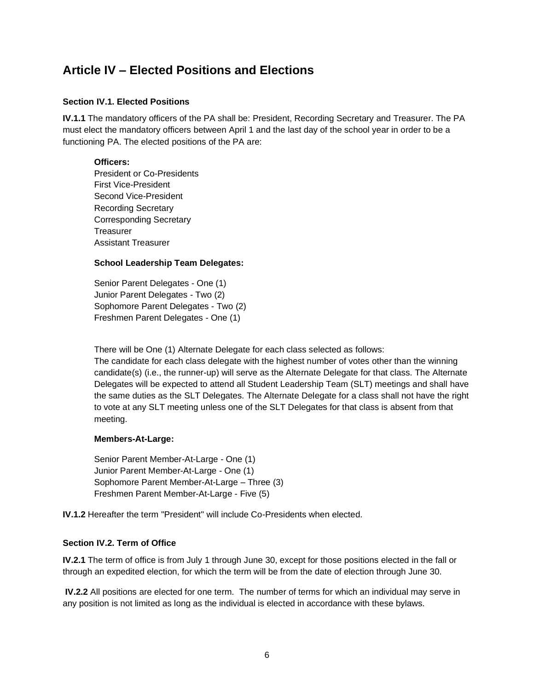# <span id="page-5-0"></span>**Article IV – Elected Positions and Elections**

### <span id="page-5-1"></span>**Section IV.1. Elected Positions**

**IV.1.1** The mandatory officers of the PA shall be: President, Recording Secretary and Treasurer. The PA must elect the mandatory officers between April 1 and the last day of the school year in order to be a functioning PA. The elected positions of the PA are:

### **Officers:**

President or Co-Presidents First Vice-President Second Vice-President Recording Secretary Corresponding Secretary **Treasurer** Assistant Treasurer

### **School Leadership Team Delegates:**

Senior Parent Delegates - One (1) Junior Parent Delegates - Two (2) Sophomore Parent Delegates - Two (2) Freshmen Parent Delegates - One (1)

There will be One (1) Alternate Delegate for each class selected as follows: The candidate for each class delegate with the highest number of votes other than the winning candidate(s) (i.e., the runner-up) will serve as the Alternate Delegate for that class. The Alternate Delegates will be expected to attend all Student Leadership Team (SLT) meetings and shall have the same duties as the SLT Delegates. The Alternate Delegate for a class shall not have the right to vote at any SLT meeting unless one of the SLT Delegates for that class is absent from that meeting.

### **Members-At-Large:**

Senior Parent Member-At-Large - One (1) Junior Parent Member-At-Large - One (1) Sophomore Parent Member-At-Large – Three (3) Freshmen Parent Member-At-Large - Five (5)

**IV.1.2** Hereafter the term "President" will include Co-Presidents when elected.

### <span id="page-5-2"></span>**Section IV.2. Term of Office**

**IV.2.1** The term of office is from July 1 through June 30, except for those positions elected in the fall or through an expedited election, for which the term will be from the date of election through June 30.

**IV.2.2** All positions are elected for one term. The number of terms for which an individual may serve in any position is not limited as long as the individual is elected in accordance with these bylaws.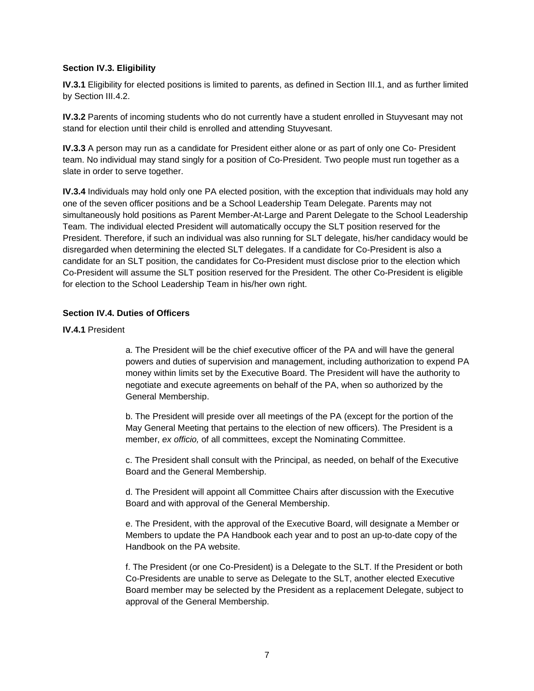### <span id="page-6-0"></span>**Section IV.3. Eligibility**

**IV.3.1** Eligibility for elected positions is limited to parents, as defined in Section III.1, and as further limited by Section III.4.2.

**IV.3.2** Parents of incoming students who do not currently have a student enrolled in Stuyvesant may not stand for election until their child is enrolled and attending Stuyvesant.

**IV.3.3** A person may run as a candidate for President either alone or as part of only one Co- President team. No individual may stand singly for a position of Co-President. Two people must run together as a slate in order to serve together.

**IV.3.4** Individuals may hold only one PA elected position, with the exception that individuals may hold any one of the seven officer positions and be a School Leadership Team Delegate. Parents may not simultaneously hold positions as Parent Member-At-Large and Parent Delegate to the School Leadership Team. The individual elected President will automatically occupy the SLT position reserved for the President. Therefore, if such an individual was also running for SLT delegate, his/her candidacy would be disregarded when determining the elected SLT delegates. If a candidate for Co-President is also a candidate for an SLT position, the candidates for Co-President must disclose prior to the election which Co-President will assume the SLT position reserved for the President. The other Co-President is eligible for election to the School Leadership Team in his/her own right.

### <span id="page-6-1"></span>**Section IV.4. Duties of Officers**

### **IV.4.1** President

a. The President will be the chief executive officer of the PA and will have the general powers and duties of supervision and management, including authorization to expend PA money within limits set by the Executive Board. The President will have the authority to negotiate and execute agreements on behalf of the PA, when so authorized by the General Membership.

b. The President will preside over all meetings of the PA (except for the portion of the May General Meeting that pertains to the election of new officers). The President is a member, *ex officio,* of all committees, except the Nominating Committee.

c. The President shall consult with the Principal, as needed, on behalf of the Executive Board and the General Membership.

d. The President will appoint all Committee Chairs after discussion with the Executive Board and with approval of the General Membership.

e. The President, with the approval of the Executive Board, will designate a Member or Members to update the PA Handbook each year and to post an up-to-date copy of the Handbook on the PA website.

f. The President (or one Co-President) is a Delegate to the SLT. If the President or both Co-Presidents are unable to serve as Delegate to the SLT, another elected Executive Board member may be selected by the President as a replacement Delegate, subject to approval of the General Membership.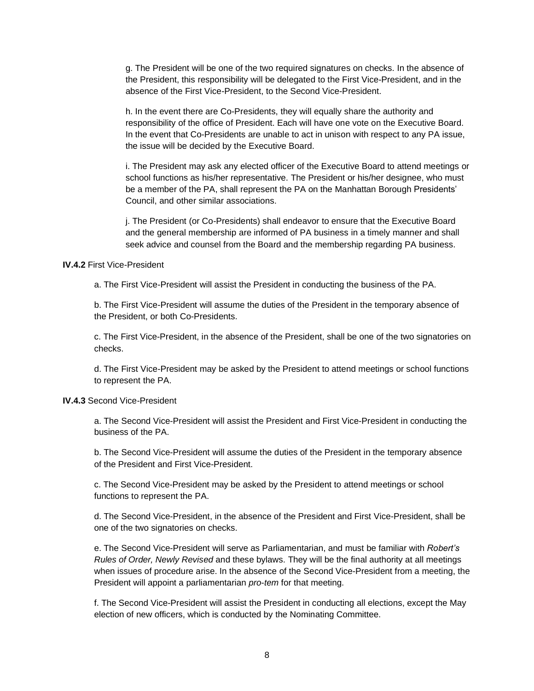g. The President will be one of the two required signatures on checks. In the absence of the President, this responsibility will be delegated to the First Vice-President, and in the absence of the First Vice-President, to the Second Vice-President.

h. In the event there are Co-Presidents, they will equally share the authority and responsibility of the office of President. Each will have one vote on the Executive Board. In the event that Co-Presidents are unable to act in unison with respect to any PA issue, the issue will be decided by the Executive Board.

i. The President may ask any elected officer of the Executive Board to attend meetings or school functions as his/her representative. The President or his/her designee, who must be a member of the PA, shall represent the PA on the Manhattan Borough Presidents' Council, and other similar associations.

j. The President (or Co-Presidents) shall endeavor to ensure that the Executive Board and the general membership are informed of PA business in a timely manner and shall seek advice and counsel from the Board and the membership regarding PA business.

### **IV.4.2** First Vice-President

a. The First Vice-President will assist the President in conducting the business of the PA.

b. The First Vice-President will assume the duties of the President in the temporary absence of the President, or both Co-Presidents.

c. The First Vice-President, in the absence of the President, shall be one of the two signatories on checks.

d. The First Vice-President may be asked by the President to attend meetings or school functions to represent the PA.

#### **IV.4.3** Second Vice-President

a. The Second Vice-President will assist the President and First Vice-President in conducting the business of the PA.

b. The Second Vice-President will assume the duties of the President in the temporary absence of the President and First Vice-President.

c. The Second Vice-President may be asked by the President to attend meetings or school functions to represent the PA.

d. The Second Vice-President, in the absence of the President and First Vice-President, shall be one of the two signatories on checks.

e. The Second Vice-President will serve as Parliamentarian, and must be familiar with *Robert's Rules of Order, Newly Revised* and these bylaws. They will be the final authority at all meetings when issues of procedure arise. In the absence of the Second Vice-President from a meeting, the President will appoint a parliamentarian *pro-tem* for that meeting.

f. The Second Vice-President will assist the President in conducting all elections, except the May election of new officers, which is conducted by the Nominating Committee.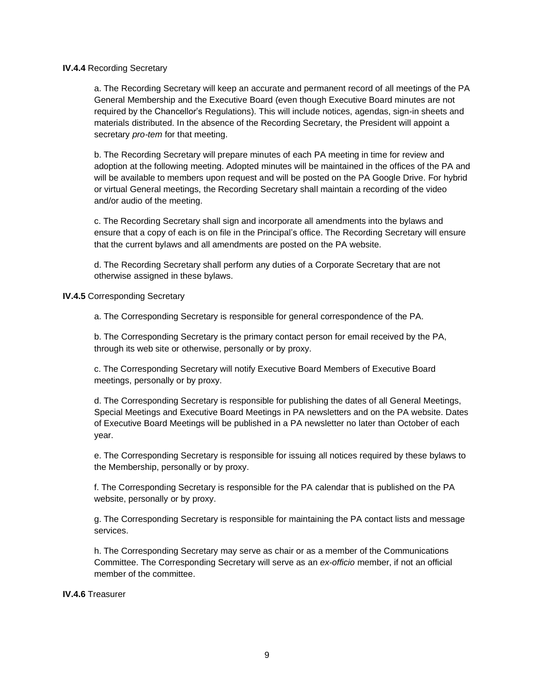#### **IV.4.4** Recording Secretary

a. The Recording Secretary will keep an accurate and permanent record of all meetings of the PA General Membership and the Executive Board (even though Executive Board minutes are not required by the Chancellor's Regulations). This will include notices, agendas, sign-in sheets and materials distributed. In the absence of the Recording Secretary, the President will appoint a secretary *pro-tem* for that meeting.

b. The Recording Secretary will prepare minutes of each PA meeting in time for review and adoption at the following meeting. Adopted minutes will be maintained in the offices of the PA and will be available to members upon request and will be posted on the PA Google Drive. For hybrid or virtual General meetings, the Recording Secretary shall maintain a recording of the video and/or audio of the meeting.

c. The Recording Secretary shall sign and incorporate all amendments into the bylaws and ensure that a copy of each is on file in the Principal's office. The Recording Secretary will ensure that the current bylaws and all amendments are posted on the PA website.

d. The Recording Secretary shall perform any duties of a Corporate Secretary that are not otherwise assigned in these bylaws.

#### **IV.4.5** Corresponding Secretary

a. The Corresponding Secretary is responsible for general correspondence of the PA.

b. The Corresponding Secretary is the primary contact person for email received by the PA, through its web site or otherwise, personally or by proxy.

c. The Corresponding Secretary will notify Executive Board Members of Executive Board meetings, personally or by proxy.

d. The Corresponding Secretary is responsible for publishing the dates of all General Meetings, Special Meetings and Executive Board Meetings in PA newsletters and on the PA website. Dates of Executive Board Meetings will be published in a PA newsletter no later than October of each year.

e. The Corresponding Secretary is responsible for issuing all notices required by these bylaws to the Membership, personally or by proxy.

f. The Corresponding Secretary is responsible for the PA calendar that is published on the PA website, personally or by proxy.

g. The Corresponding Secretary is responsible for maintaining the PA contact lists and message services.

h. The Corresponding Secretary may serve as chair or as a member of the Communications Committee. The Corresponding Secretary will serve as an *ex-officio* member, if not an official member of the committee.

#### **IV.4.6** Treasurer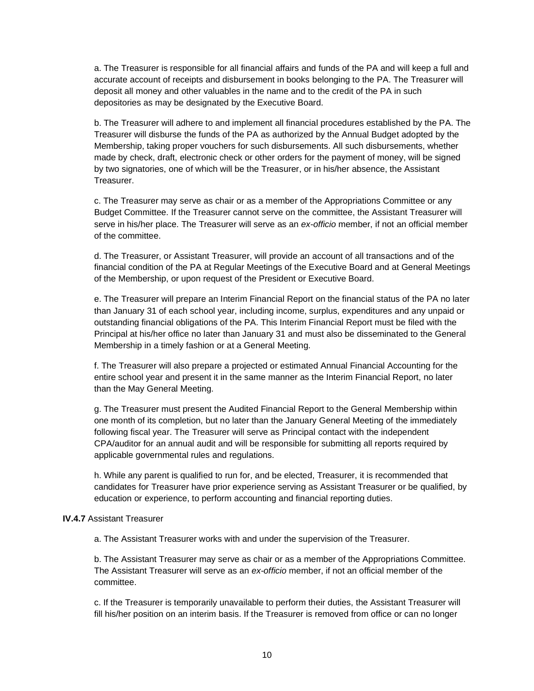a. The Treasurer is responsible for all financial affairs and funds of the PA and will keep a full and accurate account of receipts and disbursement in books belonging to the PA. The Treasurer will deposit all money and other valuables in the name and to the credit of the PA in such depositories as may be designated by the Executive Board.

b. The Treasurer will adhere to and implement all financial procedures established by the PA. The Treasurer will disburse the funds of the PA as authorized by the Annual Budget adopted by the Membership, taking proper vouchers for such disbursements. All such disbursements, whether made by check, draft, electronic check or other orders for the payment of money, will be signed by two signatories, one of which will be the Treasurer, or in his/her absence, the Assistant Treasurer.

c. The Treasurer may serve as chair or as a member of the Appropriations Committee or any Budget Committee. If the Treasurer cannot serve on the committee, the Assistant Treasurer will serve in his/her place. The Treasurer will serve as an *ex-officio* member, if not an official member of the committee.

d. The Treasurer, or Assistant Treasurer, will provide an account of all transactions and of the financial condition of the PA at Regular Meetings of the Executive Board and at General Meetings of the Membership, or upon request of the President or Executive Board.

e. The Treasurer will prepare an Interim Financial Report on the financial status of the PA no later than January 31 of each school year, including income, surplus, expenditures and any unpaid or outstanding financial obligations of the PA. This Interim Financial Report must be filed with the Principal at his/her office no later than January 31 and must also be disseminated to the General Membership in a timely fashion or at a General Meeting.

f. The Treasurer will also prepare a projected or estimated Annual Financial Accounting for the entire school year and present it in the same manner as the Interim Financial Report, no later than the May General Meeting.

g. The Treasurer must present the Audited Financial Report to the General Membership within one month of its completion, but no later than the January General Meeting of the immediately following fiscal year. The Treasurer will serve as Principal contact with the independent CPA/auditor for an annual audit and will be responsible for submitting all reports required by applicable governmental rules and regulations.

h. While any parent is qualified to run for, and be elected, Treasurer, it is recommended that candidates for Treasurer have prior experience serving as Assistant Treasurer or be qualified, by education or experience, to perform accounting and financial reporting duties.

### **IV.4.7** Assistant Treasurer

a. The Assistant Treasurer works with and under the supervision of the Treasurer.

b. The Assistant Treasurer may serve as chair or as a member of the Appropriations Committee. The Assistant Treasurer will serve as an *ex-officio* member, if not an official member of the committee.

c. If the Treasurer is temporarily unavailable to perform their duties, the Assistant Treasurer will fill his/her position on an interim basis. If the Treasurer is removed from office or can no longer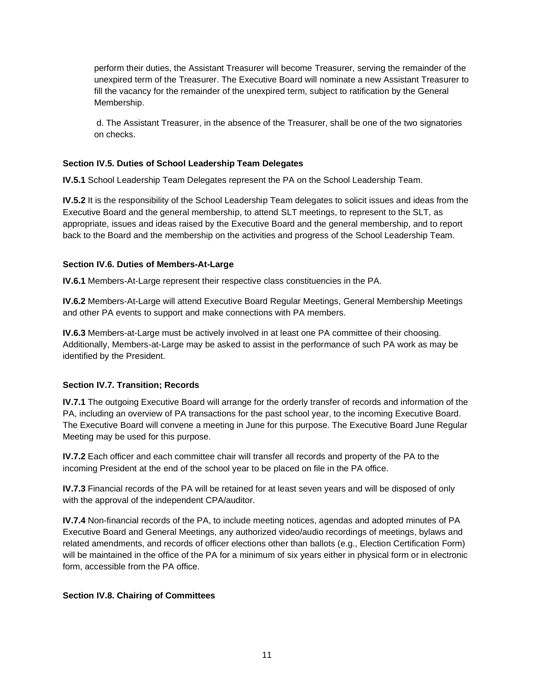perform their duties, the Assistant Treasurer will become Treasurer, serving the remainder of the unexpired term of the Treasurer. The Executive Board will nominate a new Assistant Treasurer to fill the vacancy for the remainder of the unexpired term, subject to ratification by the General Membership.

d. The Assistant Treasurer, in the absence of the Treasurer, shall be one of the two signatories on checks.

### <span id="page-10-0"></span>**Section IV.5. Duties of School Leadership Team Delegates**

**IV.5.1** School Leadership Team Delegates represent the PA on the School Leadership Team.

**IV.5.2** It is the responsibility of the School Leadership Team delegates to solicit issues and ideas from the Executive Board and the general membership, to attend SLT meetings, to represent to the SLT, as appropriate, issues and ideas raised by the Executive Board and the general membership, and to report back to the Board and the membership on the activities and progress of the School Leadership Team.

### <span id="page-10-1"></span>**Section IV.6. Duties of Members-At-Large**

**IV.6.1** Members-At-Large represent their respective class constituencies in the PA.

**IV.6.2** Members-At-Large will attend Executive Board Regular Meetings, General Membership Meetings and other PA events to support and make connections with PA members.

**IV.6.3** Members-at-Large must be actively involved in at least one PA committee of their choosing. Additionally, Members-at-Large may be asked to assist in the performance of such PA work as may be identified by the President.

### <span id="page-10-2"></span>**Section IV.7. Transition; Records**

**IV.7.1** The outgoing Executive Board will arrange for the orderly transfer of records and information of the PA, including an overview of PA transactions for the past school year, to the incoming Executive Board. The Executive Board will convene a meeting in June for this purpose. The Executive Board June Regular Meeting may be used for this purpose.

**IV.7.2** Each officer and each committee chair will transfer all records and property of the PA to the incoming President at the end of the school year to be placed on file in the PA office.

**IV.7.3** Financial records of the PA will be retained for at least seven years and will be disposed of only with the approval of the independent CPA/auditor.

**IV.7.4** Non-financial records of the PA, to include meeting notices, agendas and adopted minutes of PA Executive Board and General Meetings, any authorized video/audio recordings of meetings, bylaws and related amendments, and records of officer elections other than ballots (e.g., Election Certification Form) will be maintained in the office of the PA for a minimum of six years either in physical form or in electronic form, accessible from the PA office.

### <span id="page-10-3"></span>**Section IV.8. Chairing of Committees**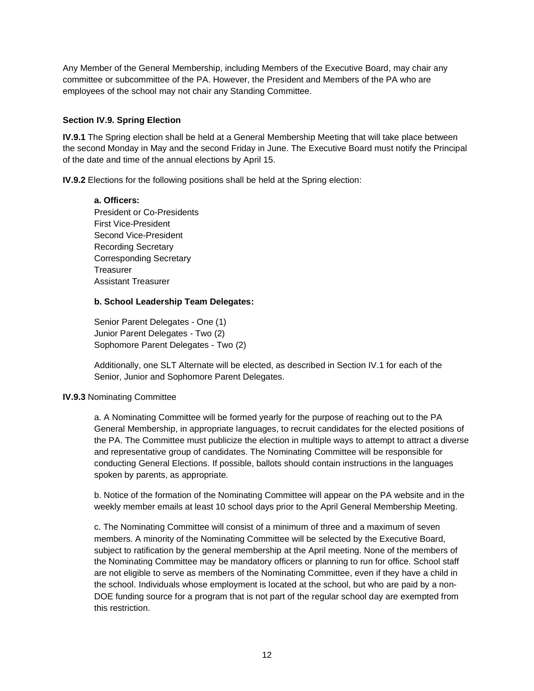Any Member of the General Membership, including Members of the Executive Board, may chair any committee or subcommittee of the PA. However, the President and Members of the PA who are employees of the school may not chair any Standing Committee.

### <span id="page-11-0"></span>**Section IV.9. Spring Election**

**IV.9.1** The Spring election shall be held at a General Membership Meeting that will take place between the second Monday in May and the second Friday in June. The Executive Board must notify the Principal of the date and time of the annual elections by April 15.

**IV.9.2** Elections for the following positions shall be held at the Spring election:

**a. Officers:** President or Co-Presidents First Vice-President Second Vice-President Recording Secretary Corresponding Secretary **Treasurer** Assistant Treasurer

### **b. School Leadership Team Delegates:**

Senior Parent Delegates - One (1) Junior Parent Delegates - Two (2) Sophomore Parent Delegates - Two (2)

Additionally, one SLT Alternate will be elected, as described in Section IV.1 for each of the Senior, Junior and Sophomore Parent Delegates.

### **IV.9.3** Nominating Committee

a. A Nominating Committee will be formed yearly for the purpose of reaching out to the PA General Membership, in appropriate languages, to recruit candidates for the elected positions of the PA. The Committee must publicize the election in multiple ways to attempt to attract a diverse and representative group of candidates. The Nominating Committee will be responsible for conducting General Elections. If possible, ballots should contain instructions in the languages spoken by parents, as appropriate.

b. Notice of the formation of the Nominating Committee will appear on the PA website and in the weekly member emails at least 10 school days prior to the April General Membership Meeting.

c. The Nominating Committee will consist of a minimum of three and a maximum of seven members. A minority of the Nominating Committee will be selected by the Executive Board, subject to ratification by the general membership at the April meeting. None of the members of the Nominating Committee may be mandatory officers or planning to run for office. School staff are not eligible to serve as members of the Nominating Committee, even if they have a child in the school. Individuals whose employment is located at the school, but who are paid by a non-DOE funding source for a program that is not part of the regular school day are exempted from this restriction.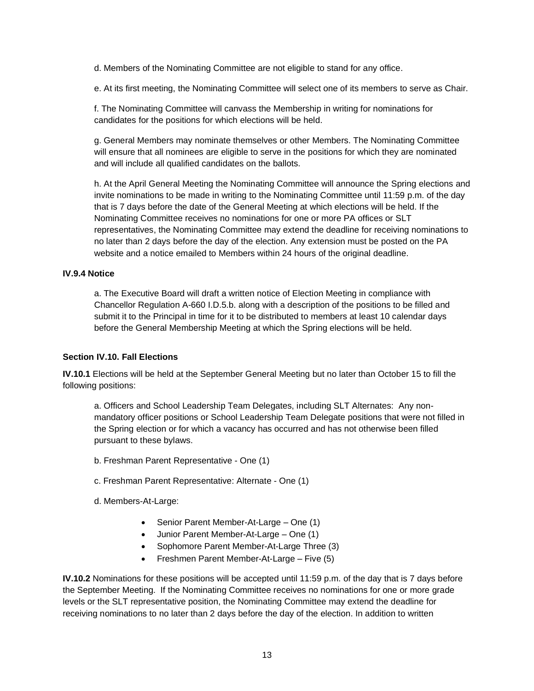d. Members of the Nominating Committee are not eligible to stand for any office.

e. At its first meeting, the Nominating Committee will select one of its members to serve as Chair.

f. The Nominating Committee will canvass the Membership in writing for nominations for candidates for the positions for which elections will be held.

g. General Members may nominate themselves or other Members. The Nominating Committee will ensure that all nominees are eligible to serve in the positions for which they are nominated and will include all qualified candidates on the ballots.

h. At the April General Meeting the Nominating Committee will announce the Spring elections and invite nominations to be made in writing to the Nominating Committee until 11:59 p.m. of the day that is 7 days before the date of the General Meeting at which elections will be held. If the Nominating Committee receives no nominations for one or more PA offices or SLT representatives, the Nominating Committee may extend the deadline for receiving nominations to no later than 2 days before the day of the election. Any extension must be posted on the PA website and a notice emailed to Members within 24 hours of the original deadline.

### **IV.9.4 Notice**

a. The Executive Board will draft a written notice of Election Meeting in compliance with Chancellor Regulation A-660 I.D.5.b. along with a description of the positions to be filled and submit it to the Principal in time for it to be distributed to members at least 10 calendar days before the General Membership Meeting at which the Spring elections will be held.

### <span id="page-12-0"></span>**Section IV.10. Fall Elections**

**IV.10.1** Elections will be held at the September General Meeting but no later than October 15 to fill the following positions:

a. Officers and School Leadership Team Delegates, including SLT Alternates: Any nonmandatory officer positions or School Leadership Team Delegate positions that were not filled in the Spring election or for which a vacancy has occurred and has not otherwise been filled pursuant to these bylaws.

- b. Freshman Parent Representative One (1)
- c. Freshman Parent Representative: Alternate One (1)
- d. Members-At-Large:
	- Senior Parent Member-At-Large One (1)
	- Junior Parent Member-At-Large One (1)
	- Sophomore Parent Member-At-Large Three (3)
	- Freshmen Parent Member-At-Large Five (5)

**IV.10.2** Nominations for these positions will be accepted until 11:59 p.m. of the day that is 7 days before the September Meeting. If the Nominating Committee receives no nominations for one or more grade levels or the SLT representative position, the Nominating Committee may extend the deadline for receiving nominations to no later than 2 days before the day of the election. In addition to written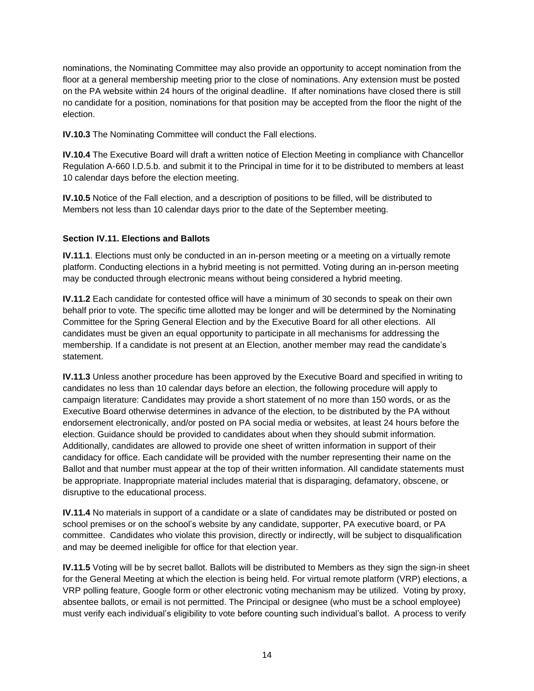nominations, the Nominating Committee may also provide an opportunity to accept nomination from the floor at a general membership meeting prior to the close of nominations. Any extension must be posted on the PA website within 24 hours of the original deadline. If after nominations have closed there is still no candidate for a position, nominations for that position may be accepted from the floor the night of the election.

**IV.10.3** The Nominating Committee will conduct the Fall elections.

**IV.10.4** The Executive Board will draft a written notice of Election Meeting in compliance with Chancellor Regulation A-660 I.D.5.b. and submit it to the Principal in time for it to be distributed to members at least 10 calendar days before the election meeting.

**IV.10.5** Notice of the Fall election, and a description of positions to be filled, will be distributed to Members not less than 10 calendar days prior to the date of the September meeting.

### <span id="page-13-0"></span>**Section IV.11. Elections and Ballots**

**IV.11.1**. Elections must only be conducted in an in-person meeting or a meeting on a virtually remote platform. Conducting elections in a hybrid meeting is not permitted. Voting during an in-person meeting may be conducted through electronic means without being considered a hybrid meeting.

**IV.11.2** Each candidate for contested office will have a minimum of 30 seconds to speak on their own behalf prior to vote. The specific time allotted may be longer and will be determined by the Nominating Committee for the Spring General Election and by the Executive Board for all other elections. All candidates must be given an equal opportunity to participate in all mechanisms for addressing the membership. If a candidate is not present at an Election, another member may read the candidate's statement.

**IV.11.3** Unless another procedure has been approved by the Executive Board and specified in writing to candidates no less than 10 calendar days before an election, the following procedure will apply to campaign literature: Candidates may provide a short statement of no more than 150 words, or as the Executive Board otherwise determines in advance of the election, to be distributed by the PA without endorsement electronically, and/or posted on PA social media or websites, at least 24 hours before the election. Guidance should be provided to candidates about when they should submit information. Additionally, candidates are allowed to provide one sheet of written information in support of their candidacy for office. Each candidate will be provided with the number representing their name on the Ballot and that number must appear at the top of their written information. All candidate statements must be appropriate. Inappropriate material includes material that is disparaging, defamatory, obscene, or disruptive to the educational process.

**IV.11.4** No materials in support of a candidate or a slate of candidates may be distributed or posted on school premises or on the school's website by any candidate, supporter, PA executive board, or PA committee. Candidates who violate this provision, directly or indirectly, will be subject to disqualification and may be deemed ineligible for office for that election year.

**IV.11.5** Voting will be by secret ballot. Ballots will be distributed to Members as they sign the sign-in sheet for the General Meeting at which the election is being held. For virtual remote platform (VRP) elections, a VRP polling feature, Google form or other electronic voting mechanism may be utilized. Voting by proxy, absentee ballots, or email is not permitted. The Principal or designee (who must be a school employee) must verify each individual's eligibility to vote before counting such individual's ballot. A process to verify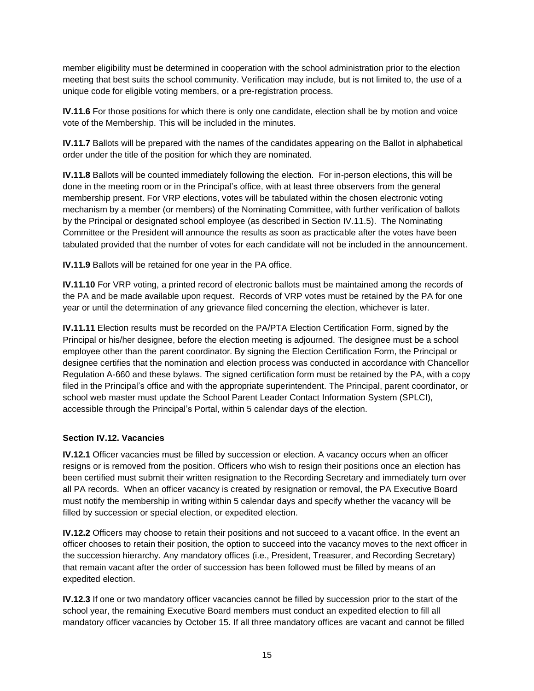member eligibility must be determined in cooperation with the school administration prior to the election meeting that best suits the school community. Verification may include, but is not limited to, the use of a unique code for eligible voting members, or a pre-registration process.

**IV.11.6** For those positions for which there is only one candidate, election shall be by motion and voice vote of the Membership. This will be included in the minutes.

**IV.11.7** Ballots will be prepared with the names of the candidates appearing on the Ballot in alphabetical order under the title of the position for which they are nominated.

**IV.11.8** Ballots will be counted immediately following the election. For in-person elections, this will be done in the meeting room or in the Principal's office, with at least three observers from the general membership present. For VRP elections, votes will be tabulated within the chosen electronic voting mechanism by a member (or members) of the Nominating Committee, with further verification of ballots by the Principal or designated school employee (as described in Section IV.11.5). The Nominating Committee or the President will announce the results as soon as practicable after the votes have been tabulated provided that the number of votes for each candidate will not be included in the announcement.

**IV.11.9** Ballots will be retained for one year in the PA office.

**IV.11.10** For VRP voting, a printed record of electronic ballots must be maintained among the records of the PA and be made available upon request. Records of VRP votes must be retained by the PA for one year or until the determination of any grievance filed concerning the election, whichever is later.

**IV.11.11** Election results must be recorded on the PA/PTA Election Certification Form, signed by the Principal or his/her designee, before the election meeting is adjourned. The designee must be a school employee other than the parent coordinator. By signing the Election Certification Form, the Principal or designee certifies that the nomination and election process was conducted in accordance with Chancellor Regulation A-660 and these bylaws. The signed certification form must be retained by the PA, with a copy filed in the Principal's office and with the appropriate superintendent. The Principal, parent coordinator, or school web master must update the School Parent Leader Contact Information System (SPLCI), accessible through the Principal's Portal, within 5 calendar days of the election.

### <span id="page-14-0"></span>**Section IV.12. Vacancies**

**IV.12.1** Officer vacancies must be filled by succession or election. A vacancy occurs when an officer resigns or is removed from the position. Officers who wish to resign their positions once an election has been certified must submit their written resignation to the Recording Secretary and immediately turn over all PA records. When an officer vacancy is created by resignation or removal, the PA Executive Board must notify the membership in writing within 5 calendar days and specify whether the vacancy will be filled by succession or special election, or expedited election.

**IV.12.2** Officers may choose to retain their positions and not succeed to a vacant office. In the event an officer chooses to retain their position, the option to succeed into the vacancy moves to the next officer in the succession hierarchy. Any mandatory offices (i.e., President, Treasurer, and Recording Secretary) that remain vacant after the order of succession has been followed must be filled by means of an expedited election.

**IV.12.3** If one or two mandatory officer vacancies cannot be filled by succession prior to the start of the school year, the remaining Executive Board members must conduct an expedited election to fill all mandatory officer vacancies by October 15. If all three mandatory offices are vacant and cannot be filled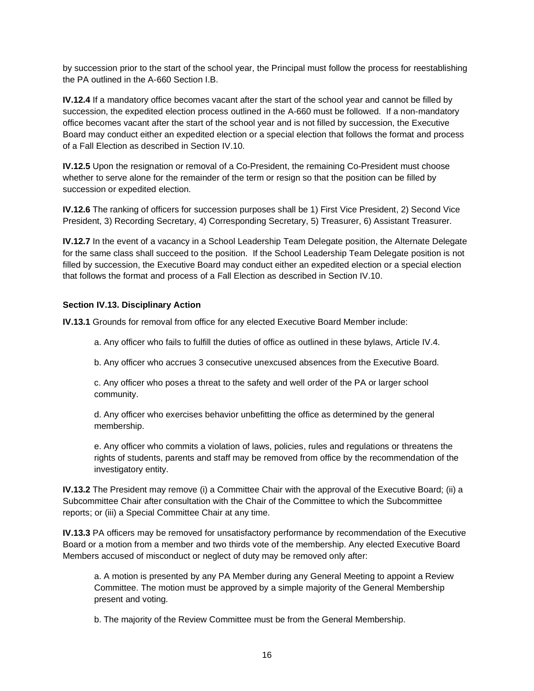by succession prior to the start of the school year, the Principal must follow the process for reestablishing the PA outlined in the A-660 Section I.B.

**IV.12.4** If a mandatory office becomes vacant after the start of the school year and cannot be filled by succession, the expedited election process outlined in the A-660 must be followed. If a non-mandatory office becomes vacant after the start of the school year and is not filled by succession, the Executive Board may conduct either an expedited election or a special election that follows the format and process of a Fall Election as described in Section IV.10.

**IV.12.5** Upon the resignation or removal of a Co-President, the remaining Co-President must choose whether to serve alone for the remainder of the term or resign so that the position can be filled by succession or expedited election.

**IV.12.6** The ranking of officers for succession purposes shall be 1) First Vice President, 2) Second Vice President, 3) Recording Secretary, 4) Corresponding Secretary, 5) Treasurer, 6) Assistant Treasurer.

**IV.12.7** In the event of a vacancy in a School Leadership Team Delegate position, the Alternate Delegate for the same class shall succeed to the position. If the School Leadership Team Delegate position is not filled by succession, the Executive Board may conduct either an expedited election or a special election that follows the format and process of a Fall Election as described in Section IV.10.

### <span id="page-15-0"></span>**Section IV.13. Disciplinary Action**

**IV.13.1** Grounds for removal from office for any elected Executive Board Member include:

a. Any officer who fails to fulfill the duties of office as outlined in these bylaws, Article IV.4.

b. Any officer who accrues 3 consecutive unexcused absences from the Executive Board.

c. Any officer who poses a threat to the safety and well order of the PA or larger school community.

d. Any officer who exercises behavior unbefitting the office as determined by the general membership.

e. Any officer who commits a violation of laws, policies, rules and regulations or threatens the rights of students, parents and staff may be removed from office by the recommendation of the investigatory entity.

**IV.13.2** The President may remove (i) a Committee Chair with the approval of the Executive Board; (ii) a Subcommittee Chair after consultation with the Chair of the Committee to which the Subcommittee reports; or (iii) a Special Committee Chair at any time.

**IV.13.3** PA officers may be removed for unsatisfactory performance by recommendation of the Executive Board or a motion from a member and two thirds vote of the membership. Any elected Executive Board Members accused of misconduct or neglect of duty may be removed only after:

a. A motion is presented by any PA Member during any General Meeting to appoint a Review Committee. The motion must be approved by a simple majority of the General Membership present and voting.

b. The majority of the Review Committee must be from the General Membership.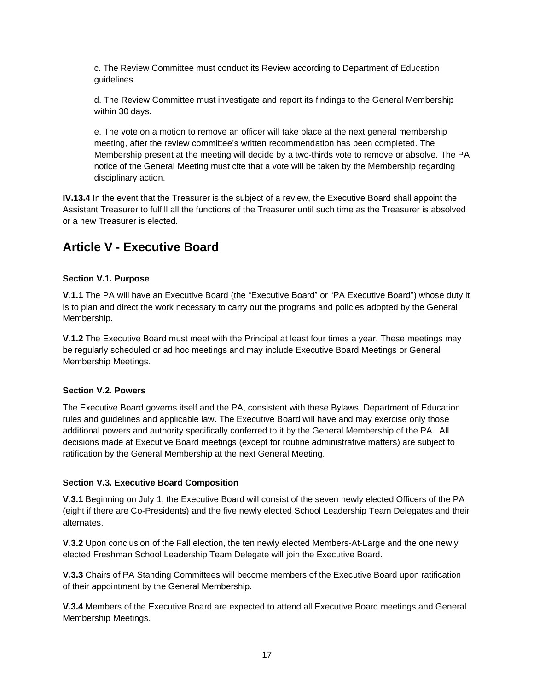c. The Review Committee must conduct its Review according to Department of Education guidelines.

d. The Review Committee must investigate and report its findings to the General Membership within 30 days.

e. The vote on a motion to remove an officer will take place at the next general membership meeting, after the review committee's written recommendation has been completed. The Membership present at the meeting will decide by a two-thirds vote to remove or absolve. The PA notice of the General Meeting must cite that a vote will be taken by the Membership regarding disciplinary action.

**IV.13.4** In the event that the Treasurer is the subject of a review, the Executive Board shall appoint the Assistant Treasurer to fulfill all the functions of the Treasurer until such time as the Treasurer is absolved or a new Treasurer is elected.

# <span id="page-16-0"></span>**Article V - Executive Board**

### <span id="page-16-1"></span>**Section V.1. Purpose**

**V.1.1** The PA will have an Executive Board (the "Executive Board" or "PA Executive Board") whose duty it is to plan and direct the work necessary to carry out the programs and policies adopted by the General Membership.

**V.1.2** The Executive Board must meet with the Principal at least four times a year. These meetings may be regularly scheduled or ad hoc meetings and may include Executive Board Meetings or General Membership Meetings.

### <span id="page-16-2"></span>**Section V.2. Powers**

The Executive Board governs itself and the PA, consistent with these Bylaws, Department of Education rules and guidelines and applicable law. The Executive Board will have and may exercise only those additional powers and authority specifically conferred to it by the General Membership of the PA. All decisions made at Executive Board meetings (except for routine administrative matters) are subject to ratification by the General Membership at the next General Meeting.

### <span id="page-16-3"></span>**Section V.3. Executive Board Composition**

**V.3.1** Beginning on July 1, the Executive Board will consist of the seven newly elected Officers of the PA (eight if there are Co-Presidents) and the five newly elected School Leadership Team Delegates and their alternates.

**V.3.2** Upon conclusion of the Fall election, the ten newly elected Members-At-Large and the one newly elected Freshman School Leadership Team Delegate will join the Executive Board.

**V.3.3** Chairs of PA Standing Committees will become members of the Executive Board upon ratification of their appointment by the General Membership.

**V.3.4** Members of the Executive Board are expected to attend all Executive Board meetings and General Membership Meetings.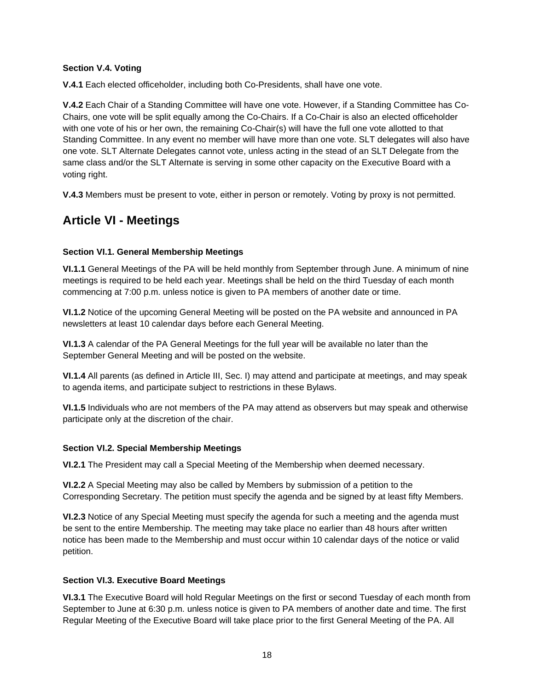### <span id="page-17-0"></span>**Section V.4. Voting**

**V.4.1** Each elected officeholder, including both Co-Presidents, shall have one vote.

**V.4.2** Each Chair of a Standing Committee will have one vote. However, if a Standing Committee has Co-Chairs, one vote will be split equally among the Co-Chairs. If a Co-Chair is also an elected officeholder with one vote of his or her own, the remaining Co-Chair(s) will have the full one vote allotted to that Standing Committee. In any event no member will have more than one vote. SLT delegates will also have one vote. SLT Alternate Delegates cannot vote, unless acting in the stead of an SLT Delegate from the same class and/or the SLT Alternate is serving in some other capacity on the Executive Board with a voting right.

**V.4.3** Members must be present to vote, either in person or remotely. Voting by proxy is not permitted.

# <span id="page-17-1"></span>**Article VI - Meetings**

### <span id="page-17-2"></span>**Section VI.1. General Membership Meetings**

**VI.1.1** General Meetings of the PA will be held monthly from September through June. A minimum of nine meetings is required to be held each year. Meetings shall be held on the third Tuesday of each month commencing at 7:00 p.m. unless notice is given to PA members of another date or time.

**VI.1.2** Notice of the upcoming General Meeting will be posted on the PA website and announced in PA newsletters at least 10 calendar days before each General Meeting.

**VI.1.3** A calendar of the PA General Meetings for the full year will be available no later than the September General Meeting and will be posted on the website.

**VI.1.4** All parents (as defined in Article III, Sec. I) may attend and participate at meetings, and may speak to agenda items, and participate subject to restrictions in these Bylaws.

**VI.1.5** Individuals who are not members of the PA may attend as observers but may speak and otherwise participate only at the discretion of the chair.

### <span id="page-17-3"></span>**Section VI.2. Special Membership Meetings**

**VI.2.1** The President may call a Special Meeting of the Membership when deemed necessary.

**VI.2.2** A Special Meeting may also be called by Members by submission of a petition to the Corresponding Secretary. The petition must specify the agenda and be signed by at least fifty Members.

**VI.2.3** Notice of any Special Meeting must specify the agenda for such a meeting and the agenda must be sent to the entire Membership. The meeting may take place no earlier than 48 hours after written notice has been made to the Membership and must occur within 10 calendar days of the notice or valid petition.

### <span id="page-17-4"></span>**Section VI.3. Executive Board Meetings**

**VI.3.1** The Executive Board will hold Regular Meetings on the first or second Tuesday of each month from September to June at 6:30 p.m. unless notice is given to PA members of another date and time. The first Regular Meeting of the Executive Board will take place prior to the first General Meeting of the PA. All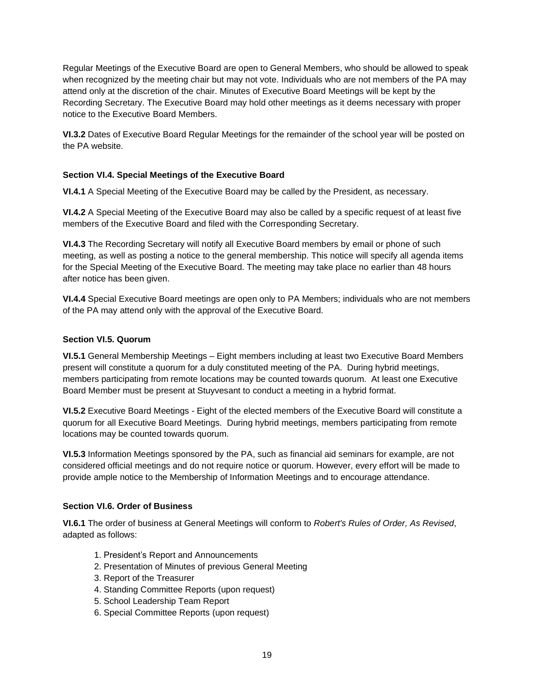Regular Meetings of the Executive Board are open to General Members, who should be allowed to speak when recognized by the meeting chair but may not vote. Individuals who are not members of the PA may attend only at the discretion of the chair. Minutes of Executive Board Meetings will be kept by the Recording Secretary. The Executive Board may hold other meetings as it deems necessary with proper notice to the Executive Board Members.

**VI.3.2** Dates of Executive Board Regular Meetings for the remainder of the school year will be posted on the PA website.

### <span id="page-18-0"></span>**Section VI.4. Special Meetings of the Executive Board**

**VI.4.1** A Special Meeting of the Executive Board may be called by the President, as necessary.

**VI.4.2** A Special Meeting of the Executive Board may also be called by a specific request of at least five members of the Executive Board and filed with the Corresponding Secretary.

**VI.4.3** The Recording Secretary will notify all Executive Board members by email or phone of such meeting, as well as posting a notice to the general membership. This notice will specify all agenda items for the Special Meeting of the Executive Board. The meeting may take place no earlier than 48 hours after notice has been given.

**VI.4.4** Special Executive Board meetings are open only to PA Members; individuals who are not members of the PA may attend only with the approval of the Executive Board.

### <span id="page-18-1"></span>**Section VI.5. Quorum**

**VI.5.1** General Membership Meetings – Eight members including at least two Executive Board Members present will constitute a quorum for a duly constituted meeting of the PA. During hybrid meetings, members participating from remote locations may be counted towards quorum. At least one Executive Board Member must be present at Stuyvesant to conduct a meeting in a hybrid format.

**VI.5.2** Executive Board Meetings - Eight of the elected members of the Executive Board will constitute a quorum for all Executive Board Meetings. During hybrid meetings, members participating from remote locations may be counted towards quorum.

**VI.5.3** Information Meetings sponsored by the PA, such as financial aid seminars for example, are not considered official meetings and do not require notice or quorum. However, every effort will be made to provide ample notice to the Membership of Information Meetings and to encourage attendance.

### <span id="page-18-2"></span>**Section VI.6. Order of Business**

**VI.6.1** The order of business at General Meetings will conform to *Robert's Rules of Order, As Revised*, adapted as follows:

- 1. President's Report and Announcements
- 2. Presentation of Minutes of previous General Meeting
- 3. Report of the Treasurer
- 4. Standing Committee Reports (upon request)
- 5. School Leadership Team Report
- 6. Special Committee Reports (upon request)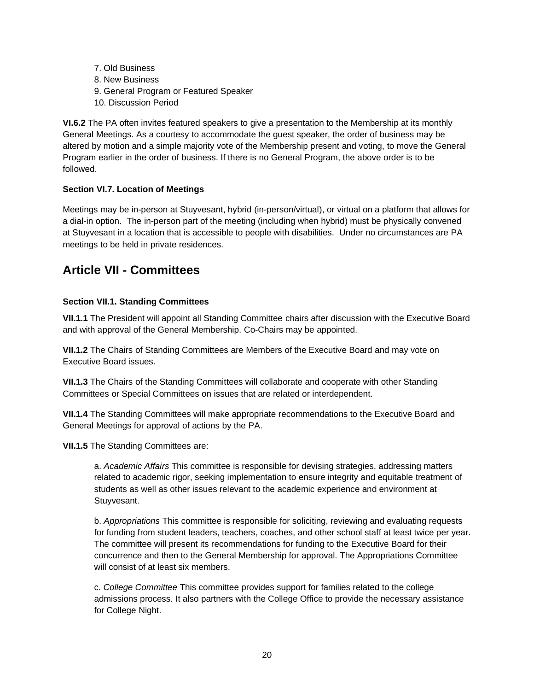7. Old Business 8. New Business 9. General Program or Featured Speaker 10. Discussion Period

**VI.6.2** The PA often invites featured speakers to give a presentation to the Membership at its monthly General Meetings. As a courtesy to accommodate the guest speaker, the order of business may be altered by motion and a simple majority vote of the Membership present and voting, to move the General Program earlier in the order of business. If there is no General Program, the above order is to be followed.

## **Section VI.7. Location of Meetings**

Meetings may be in-person at Stuyvesant, hybrid (in-person/virtual), or virtual on a platform that allows for a dial-in option. The in-person part of the meeting (including when hybrid) must be physically convened at Stuyvesant in a location that is accessible to people with disabilities. Under no circumstances are PA meetings to be held in private residences.

# <span id="page-19-0"></span>**Article VII - Committees**

### <span id="page-19-1"></span>**Section VII.1. Standing Committees**

**VII.1.1** The President will appoint all Standing Committee chairs after discussion with the Executive Board and with approval of the General Membership. Co-Chairs may be appointed.

**VII.1.2** The Chairs of Standing Committees are Members of the Executive Board and may vote on Executive Board issues.

**VII.1.3** The Chairs of the Standing Committees will collaborate and cooperate with other Standing Committees or Special Committees on issues that are related or interdependent.

**VII.1.4** The Standing Committees will make appropriate recommendations to the Executive Board and General Meetings for approval of actions by the PA.

**VII.1.5** The Standing Committees are:

a. *Academic Affairs* This committee is responsible for devising strategies, addressing matters related to academic rigor, seeking implementation to ensure integrity and equitable treatment of students as well as other issues relevant to the academic experience and environment at Stuyvesant.

b. *Appropriations* This committee is responsible for soliciting, reviewing and evaluating requests for funding from student leaders, teachers, coaches, and other school staff at least twice per year. The committee will present its recommendations for funding to the Executive Board for their concurrence and then to the General Membership for approval. The Appropriations Committee will consist of at least six members.

c. *College Committee* This committee provides support for families related to the college admissions process. It also partners with the College Office to provide the necessary assistance for College Night.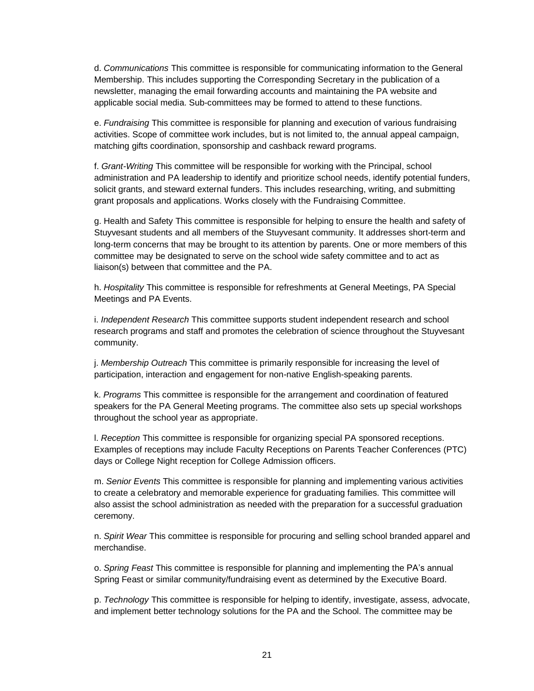d. *Communications* This committee is responsible for communicating information to the General Membership. This includes supporting the Corresponding Secretary in the publication of a newsletter, managing the email forwarding accounts and maintaining the PA website and applicable social media. Sub-committees may be formed to attend to these functions.

e. *Fundraising* This committee is responsible for planning and execution of various fundraising activities. Scope of committee work includes, but is not limited to, the annual appeal campaign, matching gifts coordination, sponsorship and cashback reward programs.

f. *Grant-Writing* This committee will be responsible for working with the Principal, school administration and PA leadership to identify and prioritize school needs, identify potential funders, solicit grants, and steward external funders. This includes researching, writing, and submitting grant proposals and applications. Works closely with the Fundraising Committee.

g. Health and Safety This committee is responsible for helping to ensure the health and safety of Stuyvesant students and all members of the Stuyvesant community. It addresses short-term and long-term concerns that may be brought to its attention by parents. One or more members of this committee may be designated to serve on the school wide safety committee and to act as liaison(s) between that committee and the PA.

h. *Hospitality* This committee is responsible for refreshments at General Meetings, PA Special Meetings and PA Events.

i. *Independent Research* This committee supports student independent research and school research programs and staff and promotes the celebration of science throughout the Stuyvesant community.

j. *Membership Outreach* This committee is primarily responsible for increasing the level of participation, interaction and engagement for non-native English-speaking parents.

k. *Programs* This committee is responsible for the arrangement and coordination of featured speakers for the PA General Meeting programs. The committee also sets up special workshops throughout the school year as appropriate.

l. *Reception* This committee is responsible for organizing special PA sponsored receptions. Examples of receptions may include Faculty Receptions on Parents Teacher Conferences (PTC) days or College Night reception for College Admission officers.

m. *Senior Events* This committee is responsible for planning and implementing various activities to create a celebratory and memorable experience for graduating families. This committee will also assist the school administration as needed with the preparation for a successful graduation ceremony.

n. *Spirit Wear* This committee is responsible for procuring and selling school branded apparel and merchandise.

o. *Spring Feast* This committee is responsible for planning and implementing the PA's annual Spring Feast or similar community/fundraising event as determined by the Executive Board.

p. *Technology* This committee is responsible for helping to identify, investigate, assess, advocate, and implement better technology solutions for the PA and the School. The committee may be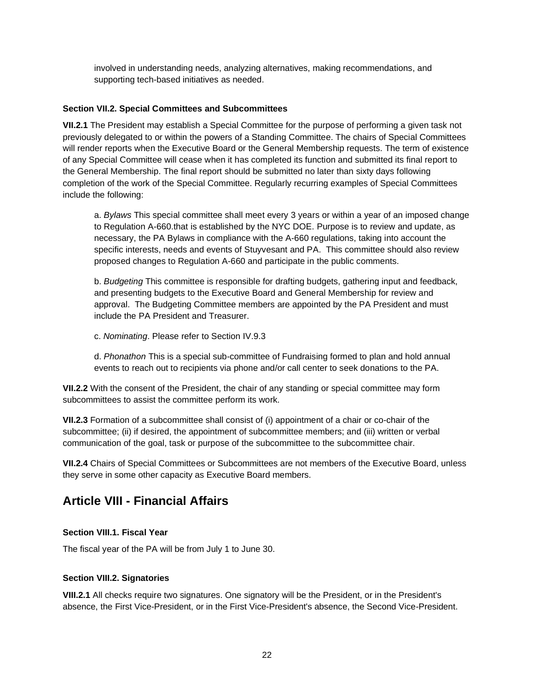involved in understanding needs, analyzing alternatives, making recommendations, and supporting tech-based initiatives as needed.

### <span id="page-21-0"></span>**Section VII.2. Special Committees and Subcommittees**

**VII.2.1** The President may establish a Special Committee for the purpose of performing a given task not previously delegated to or within the powers of a Standing Committee. The chairs of Special Committees will render reports when the Executive Board or the General Membership requests. The term of existence of any Special Committee will cease when it has completed its function and submitted its final report to the General Membership. The final report should be submitted no later than sixty days following completion of the work of the Special Committee. Regularly recurring examples of Special Committees include the following:

a. *Bylaws* This special committee shall meet every 3 years or within a year of an imposed change to Regulation A-660.that is established by the NYC DOE. Purpose is to review and update, as necessary, the PA Bylaws in compliance with the A-660 regulations, taking into account the specific interests, needs and events of Stuyvesant and PA. This committee should also review proposed changes to Regulation A-660 and participate in the public comments.

b. *Budgeting* This committee is responsible for drafting budgets, gathering input and feedback, and presenting budgets to the Executive Board and General Membership for review and approval. The Budgeting Committee members are appointed by the PA President and must include the PA President and Treasurer.

c. *Nominating*. Please refer to Section IV.9.3

d. *Phonathon* This is a special sub-committee of Fundraising formed to plan and hold annual events to reach out to recipients via phone and/or call center to seek donations to the PA.

**VII.2.2** With the consent of the President, the chair of any standing or special committee may form subcommittees to assist the committee perform its work.

**VII.2.3** Formation of a subcommittee shall consist of (i) appointment of a chair or co-chair of the subcommittee; (ii) if desired, the appointment of subcommittee members; and (iii) written or verbal communication of the goal, task or purpose of the subcommittee to the subcommittee chair.

**VII.2.4** Chairs of Special Committees or Subcommittees are not members of the Executive Board, unless they serve in some other capacity as Executive Board members.

# <span id="page-21-1"></span>**Article VIII - Financial Affairs**

### <span id="page-21-2"></span>**Section VIII.1. Fiscal Year**

The fiscal year of the PA will be from July 1 to June 30.

### <span id="page-21-3"></span>**Section VIII.2. Signatories**

**VIII.2.1** All checks require two signatures. One signatory will be the President, or in the President's absence, the First Vice-President, or in the First Vice-President's absence, the Second Vice-President.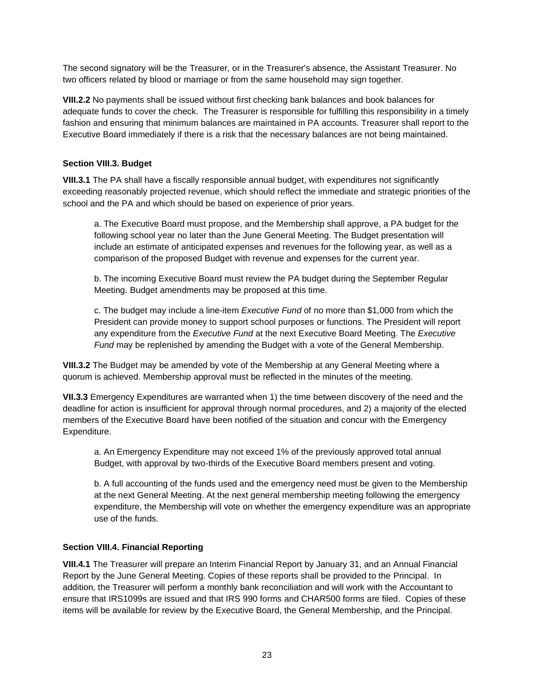The second signatory will be the Treasurer, or in the Treasurer's absence, the Assistant Treasurer. No two officers related by blood or marriage or from the same household may sign together.

**VIII.2.2** No payments shall be issued without first checking bank balances and book balances for adequate funds to cover the check. The Treasurer is responsible for fulfilling this responsibility in a timely fashion and ensuring that minimum balances are maintained in PA accounts. Treasurer shall report to the Executive Board immediately if there is a risk that the necessary balances are not being maintained.

### <span id="page-22-0"></span>**Section VIII.3. Budget**

**VIII.3.1** The PA shall have a fiscally responsible annual budget, with expenditures not significantly exceeding reasonably projected revenue, which should reflect the immediate and strategic priorities of the school and the PA and which should be based on experience of prior years.

a. The Executive Board must propose, and the Membership shall approve, a PA budget for the following school year no later than the June General Meeting. The Budget presentation will include an estimate of anticipated expenses and revenues for the following year, as well as a comparison of the proposed Budget with revenue and expenses for the current year.

b. The incoming Executive Board must review the PA budget during the September Regular Meeting. Budget amendments may be proposed at this time.

c. The budget may include a line-item *Executive Fund* of no more than \$1,000 from which the President can provide money to support school purposes or functions. The President will report any expenditure from the *Executive Fund* at the next Executive Board Meeting. The *Executive Fund* may be replenished by amending the Budget with a vote of the General Membership.

**VIII.3.2** The Budget may be amended by vote of the Membership at any General Meeting where a quorum is achieved. Membership approval must be reflected in the minutes of the meeting.

**VII.3.3** Emergency Expenditures are warranted when 1) the time between discovery of the need and the deadline for action is insufficient for approval through normal procedures, and 2) a majority of the elected members of the Executive Board have been notified of the situation and concur with the Emergency Expenditure.

a. An Emergency Expenditure may not exceed 1% of the previously approved total annual Budget, with approval by two-thirds of the Executive Board members present and voting.

b. A full accounting of the funds used and the emergency need must be given to the Membership at the next General Meeting. At the next general membership meeting following the emergency expenditure, the Membership will vote on whether the emergency expenditure was an appropriate use of the funds.

### <span id="page-22-1"></span>**Section VIII.4. Financial Reporting**

**VIII.4.1** The Treasurer will prepare an Interim Financial Report by January 31, and an Annual Financial Report by the June General Meeting. Copies of these reports shall be provided to the Principal. In addition, the Treasurer will perform a monthly bank reconciliation and will work with the Accountant to ensure that IRS1099s are issued and that IRS 990 forms and CHAR500 forms are filed. Copies of these items will be available for review by the Executive Board, the General Membership, and the Principal.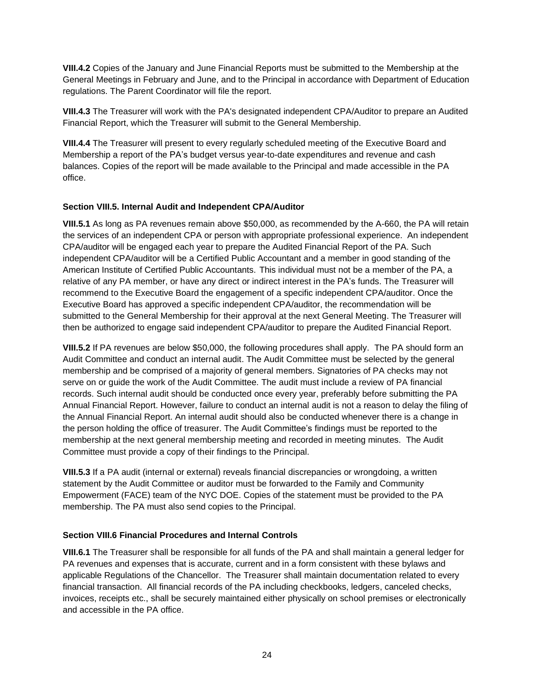**VIII.4.2** Copies of the January and June Financial Reports must be submitted to the Membership at the General Meetings in February and June, and to the Principal in accordance with Department of Education regulations. The Parent Coordinator will file the report.

**VIII.4.3** The Treasurer will work with the PA's designated independent CPA/Auditor to prepare an Audited Financial Report, which the Treasurer will submit to the General Membership.

**VIII.4.4** The Treasurer will present to every regularly scheduled meeting of the Executive Board and Membership a report of the PA's budget versus year-to-date expenditures and revenue and cash balances. Copies of the report will be made available to the Principal and made accessible in the PA office.

### <span id="page-23-0"></span>**Section VIII.5. Internal Audit and Independent CPA/Auditor**

**VIII.5.1** As long as PA revenues remain above \$50,000, as recommended by the A-660, the PA will retain the services of an independent CPA or person with appropriate professional experience.An independent CPA/auditor will be engaged each year to prepare the Audited Financial Report of the PA. Such independent CPA/auditor will be a Certified Public Accountant and a member in good standing of the American Institute of Certified Public Accountants. This individual must not be a member of the PA, a relative of any PA member, or have any direct or indirect interest in the PA's funds. The Treasurer will recommend to the Executive Board the engagement of a specific independent CPA/auditor. Once the Executive Board has approved a specific independent CPA/auditor, the recommendation will be submitted to the General Membership for their approval at the next General Meeting. The Treasurer will then be authorized to engage said independent CPA/auditor to prepare the Audited Financial Report.

**VIII.5.2** If PA revenues are below \$50,000, the following procedures shall apply. The PA should form an Audit Committee and conduct an internal audit. The Audit Committee must be selected by the general membership and be comprised of a majority of general members. Signatories of PA checks may not serve on or guide the work of the Audit Committee. The audit must include a review of PA financial records. Such internal audit should be conducted once every year, preferably before submitting the PA Annual Financial Report. However, failure to conduct an internal audit is not a reason to delay the filing of the Annual Financial Report. An internal audit should also be conducted whenever there is a change in the person holding the office of treasurer. The Audit Committee's findings must be reported to the membership at the next general membership meeting and recorded in meeting minutes. The Audit Committee must provide a copy of their findings to the Principal.

**VIII.5.3** If a PA audit (internal or external) reveals financial discrepancies or wrongdoing, a written statement by the Audit Committee or auditor must be forwarded to the Family and Community Empowerment (FACE) team of the NYC DOE. Copies of the statement must be provided to the PA membership. The PA must also send copies to the Principal.

## <span id="page-23-1"></span>**Section VIII.6 Financial Procedures and Internal Controls**

**VIII.6.1** The Treasurer shall be responsible for all funds of the PA and shall maintain a general ledger for PA revenues and expenses that is accurate, current and in a form consistent with these bylaws and applicable Regulations of the Chancellor. The Treasurer shall maintain documentation related to every financial transaction. All financial records of the PA including checkbooks, ledgers, canceled checks, invoices, receipts etc., shall be securely maintained either physically on school premises or electronically and accessible in the PA office.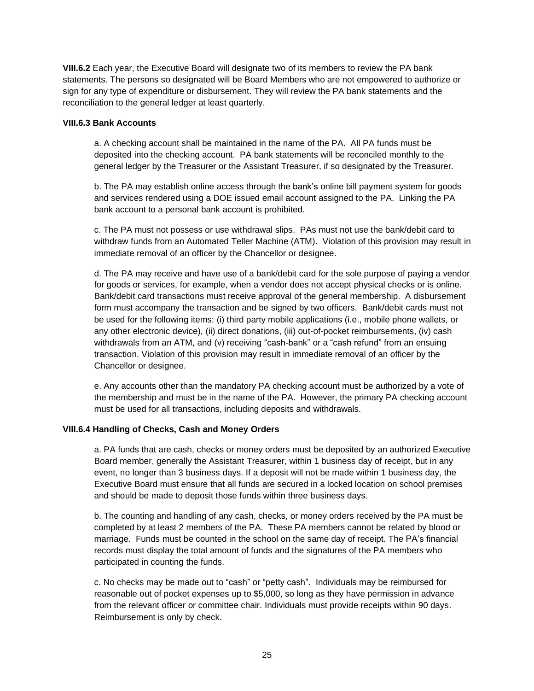**VIII.6.2** Each year, the Executive Board will designate two of its members to review the PA bank statements. The persons so designated will be Board Members who are not empowered to authorize or sign for any type of expenditure or disbursement. They will review the PA bank statements and the reconciliation to the general ledger at least quarterly.

### **VIII.6.3 Bank Accounts**

a. A checking account shall be maintained in the name of the PA. All PA funds must be deposited into the checking account. PA bank statements will be reconciled monthly to the general ledger by the Treasurer or the Assistant Treasurer, if so designated by the Treasurer.

b. The PA may establish online access through the bank's online bill payment system for goods and services rendered using a DOE issued email account assigned to the PA. Linking the PA bank account to a personal bank account is prohibited.

c. The PA must not possess or use withdrawal slips. PAs must not use the bank/debit card to withdraw funds from an Automated Teller Machine (ATM). Violation of this provision may result in immediate removal of an officer by the Chancellor or designee.

d. The PA may receive and have use of a bank/debit card for the sole purpose of paying a vendor for goods or services, for example, when a vendor does not accept physical checks or is online. Bank/debit card transactions must receive approval of the general membership. A disbursement form must accompany the transaction and be signed by two officers. Bank/debit cards must not be used for the following items: (i) third party mobile applications (i.e., mobile phone wallets, or any other electronic device), (ii) direct donations, (iii) out-of-pocket reimbursements, (iv) cash withdrawals from an ATM, and (v) receiving "cash-bank" or a "cash refund" from an ensuing transaction. Violation of this provision may result in immediate removal of an officer by the Chancellor or designee.

e. Any accounts other than the mandatory PA checking account must be authorized by a vote of the membership and must be in the name of the PA. However, the primary PA checking account must be used for all transactions, including deposits and withdrawals.

### **VIII.6.4 Handling of Checks, Cash and Money Orders**

a. PA funds that are cash, checks or money orders must be deposited by an authorized Executive Board member, generally the Assistant Treasurer, within 1 business day of receipt, but in any event, no longer than 3 business days. If a deposit will not be made within 1 business day, the Executive Board must ensure that all funds are secured in a locked location on school premises and should be made to deposit those funds within three business days.

b. The counting and handling of any cash, checks, or money orders received by the PA must be completed by at least 2 members of the PA. These PA members cannot be related by blood or marriage. Funds must be counted in the school on the same day of receipt. The PA's financial records must display the total amount of funds and the signatures of the PA members who participated in counting the funds.

c. No checks may be made out to "cash" or "petty cash". Individuals may be reimbursed for reasonable out of pocket expenses up to \$5,000, so long as they have permission in advance from the relevant officer or committee chair. Individuals must provide receipts within 90 days. Reimbursement is only by check.